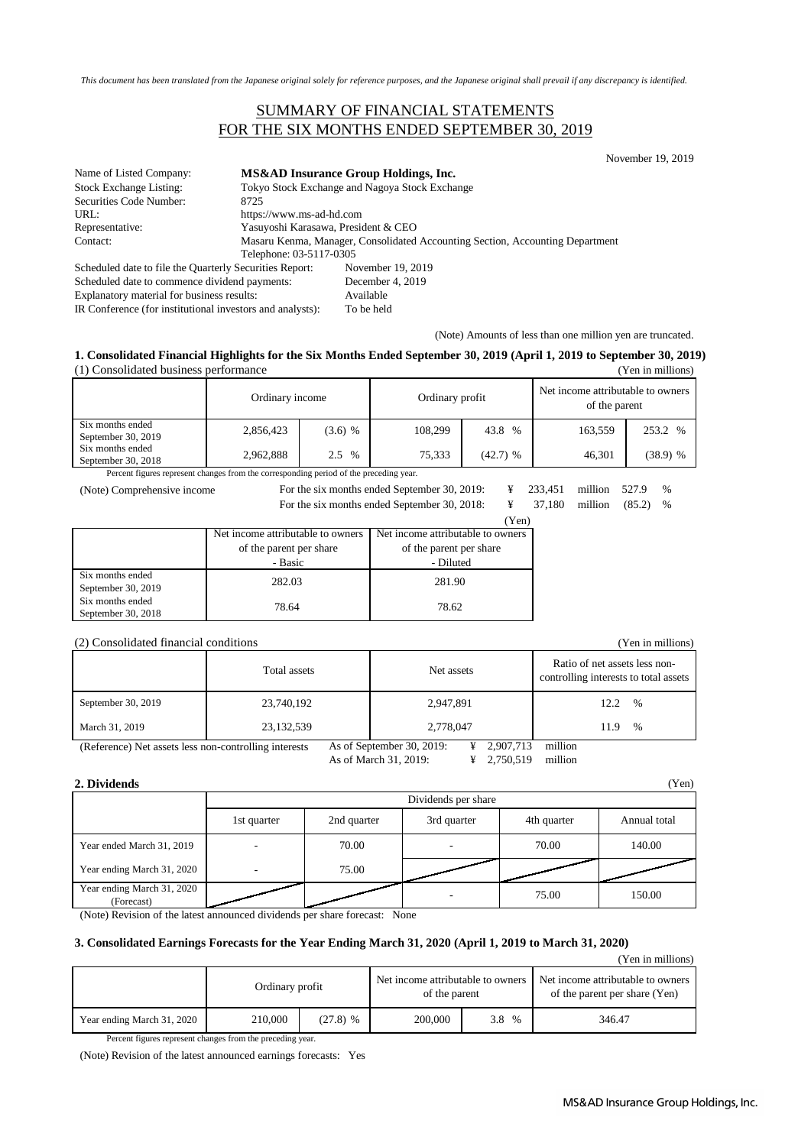*This document has been translated from the Japanese original solely for reference purposes, and the Japanese original shall prevail if any discrepancy is identified.*

### SUMMARY OF FINANCIAL STATEMENTS FOR THE SIX MONTHS ENDED SEPTEMBER 30, 2019

November 19, 2019

| Name of Listed Company:                                 |                         | MS&AD Insurance Group Holdings, Inc.                                          |  |  |
|---------------------------------------------------------|-------------------------|-------------------------------------------------------------------------------|--|--|
| <b>Stock Exchange Listing:</b>                          |                         | Tokyo Stock Exchange and Nagoya Stock Exchange                                |  |  |
| Securities Code Number:                                 | 8725                    |                                                                               |  |  |
| URL:                                                    |                         | https://www.ms-ad-hd.com                                                      |  |  |
| Representative:                                         |                         | Yasuyoshi Karasawa, President & CEO                                           |  |  |
| Contact:                                                |                         | Masaru Kenma, Manager, Consolidated Accounting Section, Accounting Department |  |  |
|                                                         | Telephone: 03-5117-0305 |                                                                               |  |  |
| Scheduled date to file the Quarterly Securities Report: |                         | November 19, 2019                                                             |  |  |
| Scheduled date to commence dividend payments:           |                         | December 4, 2019                                                              |  |  |
|                                                         |                         |                                                                               |  |  |

Explanatory material for business results: Available

IR Conference (for institutional investors and analysts): To be held

(Note) Amounts of less than one million yen are truncated.

#### **1. Consolidated Financial Highlights for the Six Months Ended September 30, 2019 (April 1, 2019 to September 30, 2019)** (1) Consolidated business performance (Yen in millions)

|                                        | Ordinary income |           | Ordinary profit |            | Net income attributable to owners<br>of the parent |            |
|----------------------------------------|-----------------|-----------|-----------------|------------|----------------------------------------------------|------------|
| Six months ended<br>September 30, 2019 | 2,856,423       | $(3.6)$ % | 108.299         | 43.8 %     | 163.559                                            | 253.2 %    |
| Six months ended<br>September 30, 2018 | 2,962,888       | 2.5 %     | 75.333          | $(42.7)$ % | 46.301                                             | $(38.9)$ % |

Percent figures represent changes from the corresponding period of the preceding year.

(Note) Comprehensive income

For the six months ended September 30, 2019: ¥ 233,451 million 527.9 %

For the six months ended September 30, 2018:  $\frac{1}{2}$ 

| nths ended September 30, 2018: |       | 37,180 million (85.2) |  |
|--------------------------------|-------|-----------------------|--|
|                                | (Yen) |                       |  |

|                    | Net income attributable to owners | Net income attributable to owners |  |
|--------------------|-----------------------------------|-----------------------------------|--|
|                    | of the parent per share           | of the parent per share           |  |
|                    | - Basic                           | - Diluted                         |  |
| Six months ended   | 282.03                            | 281.90                            |  |
| September 30, 2019 |                                   |                                   |  |
| Six months ended   | 78.64                             | 78.62                             |  |
| September 30, 2018 |                                   |                                   |  |

#### (2) Consolidated financial conditions (Yen in millions)

|                    | Total assets | Net assets | Ratio of net assets less non-<br>controlling interests to total assets |
|--------------------|--------------|------------|------------------------------------------------------------------------|
| September 30, 2019 | 23,740,192   | 2,947,891  | 12.2<br>$\%$                                                           |
| March 31, 2019     | 23,132,539   | 2,778,047  | %<br>11.9                                                              |

(Reference) Net assets less non-controlling interests As of September 30, 2019: ¥ 2,907,713 million

As of March 31, 2019: ¥ 2,750,519 million

### **2. Dividends** (Yen)

|                                          | Dividends per share |             |             |             |              |
|------------------------------------------|---------------------|-------------|-------------|-------------|--------------|
|                                          | 1st quarter         | 2nd quarter | 3rd quarter | 4th quarter | Annual total |
| Year ended March 31, 2019                |                     | 70.00       |             | 70.00       | 140.00       |
| Year ending March 31, 2020               |                     | 75.00       |             |             |              |
| Year ending March 31, 2020<br>(Forecast) |                     |             |             | 75.00       | 150.00       |

(Note) Revision of the latest announced dividends per share forecast: None

#### **3. Consolidated Earnings Forecasts for the Year Ending March 31, 2020 (April 1, 2019 to March 31, 2020)**

(Yen in millions)

|                            | Ordinary profit |            | of the parent |       | Net income attributable to owners |  | Net income attributable to owners<br>of the parent per share (Yen) |
|----------------------------|-----------------|------------|---------------|-------|-----------------------------------|--|--------------------------------------------------------------------|
| Year ending March 31, 2020 | 210,000         | $(27.8)$ % | 200,000       | 3.8 % | 346.47                            |  |                                                                    |

Percent figures represent changes from the preceding year.

(Note) Revision of the latest announced earnings forecasts: Yes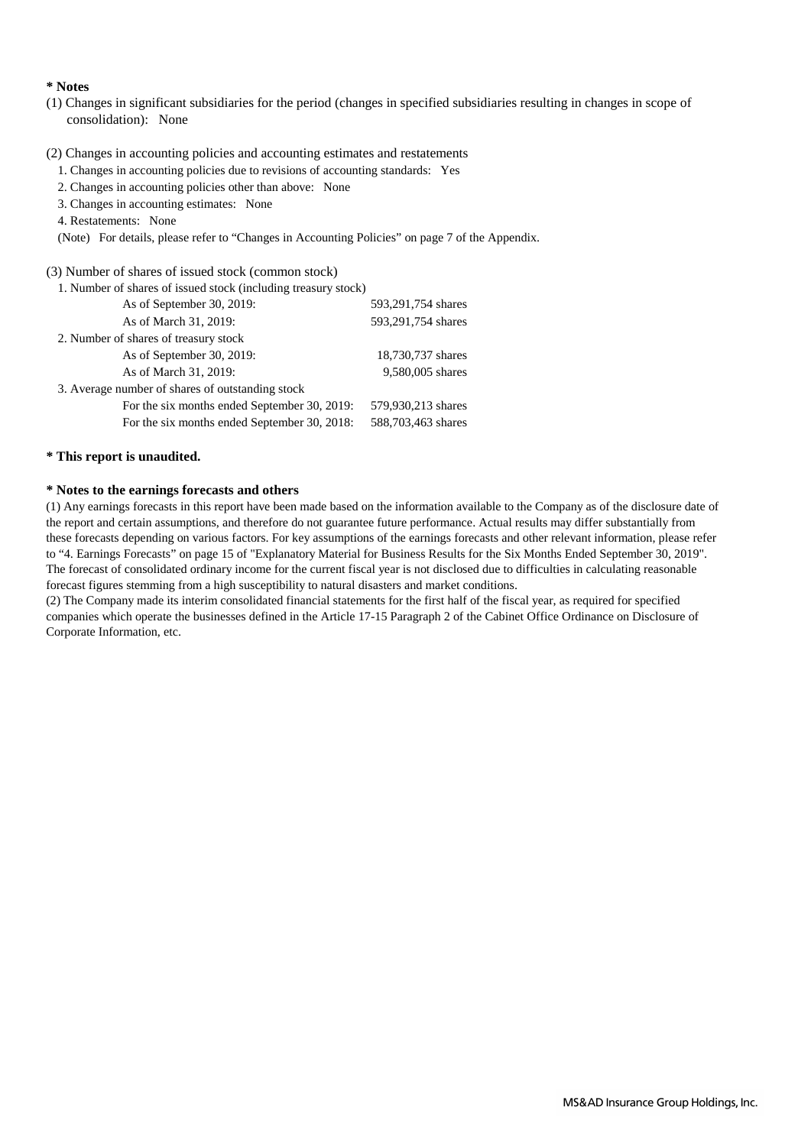#### **\* Notes**

(1) Changes in significant subsidiaries for the period (changes in specified subsidiaries resulting in changes in scope of consolidation): None

### (2) Changes in accounting policies and accounting estimates and restatements

- 1. Changes in accounting policies due to revisions of accounting standards: Yes
- 2. Changes in accounting policies other than above: None
- 3. Changes in accounting estimates: None
- 4. Restatements: None
- (Note) For details, please refer to "Changes in Accounting Policies" on page 7 of the Appendix.

#### (3) Number of shares of issued stock (common stock)

| 1. Number of shares of issued stock (including treasury stock) |                    |
|----------------------------------------------------------------|--------------------|
| As of September 30, 2019:                                      | 593,291,754 shares |
| As of March 31, 2019:                                          | 593,291,754 shares |
| 2. Number of shares of treasury stock                          |                    |
| As of September 30, 2019:                                      | 18,730,737 shares  |
| As of March 31, 2019:                                          | 9,580,005 shares   |
| 3. Average number of shares of outstanding stock               |                    |
| For the six months ended September 30, 2019:                   | 579,930,213 shares |
| For the six months ended September 30, 2018:                   | 588,703,463 shares |

### **\* This report is unaudited.**

### **\* Notes to the earnings forecasts and others**

(1) Any earnings forecasts in this report have been made based on the information available to the Company as of the disclosure date of the report and certain assumptions, and therefore do not guarantee future performance. Actual results may differ substantially from these forecasts depending on various factors. For key assumptions of the earnings forecasts and other relevant information, please refer to "4. Earnings Forecasts" on page 15 of "Explanatory Material for Business Results for the Six Months Ended September 30, 2019". The forecast of consolidated ordinary income for the current fiscal year is not disclosed due to difficulties in calculating reasonable forecast figures stemming from a high susceptibility to natural disasters and market conditions.

(2) The Company made its interim consolidated financial statements for the first half of the fiscal year, as required for specified companies which operate the businesses defined in the Article 17-15 Paragraph 2 of the Cabinet Office Ordinance on Disclosure of Corporate Information, etc.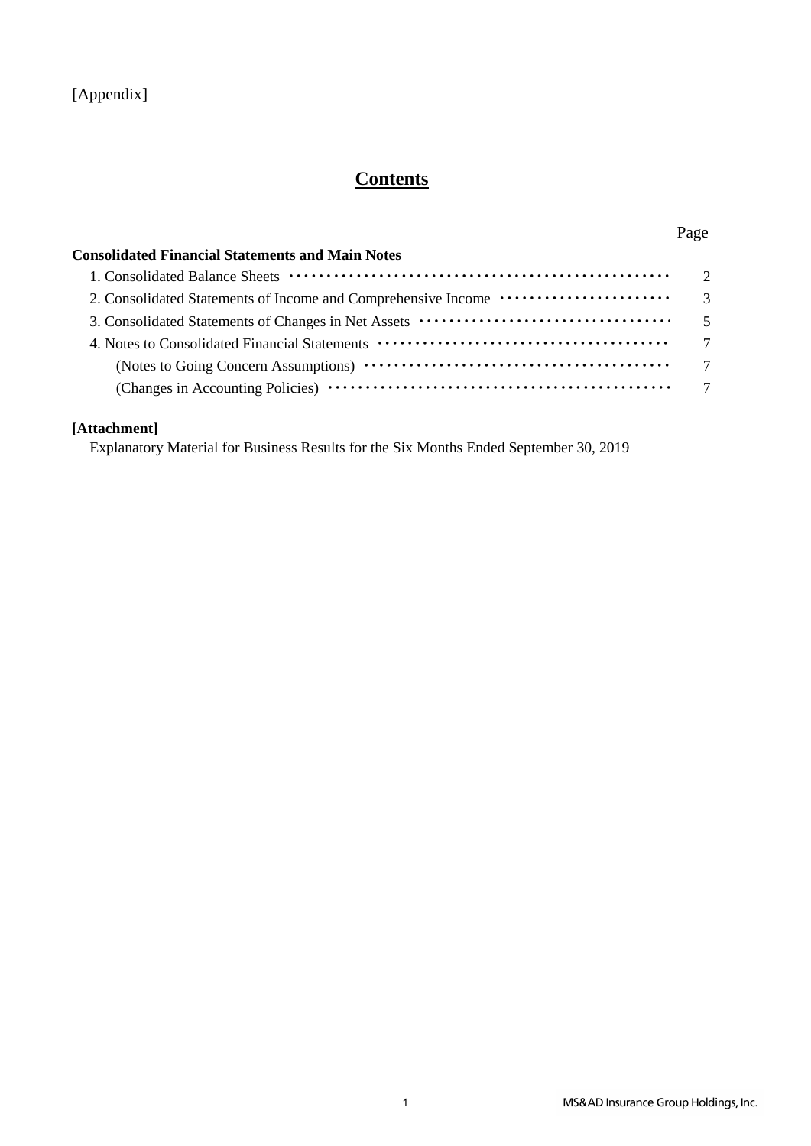## **Contents**

### Page

| <b>Consolidated Financial Statements and Main Notes</b>                              |                |
|--------------------------------------------------------------------------------------|----------------|
|                                                                                      | $\overline{2}$ |
| 2. Consolidated Statements of Income and Comprehensive Income ······················ | $\overline{3}$ |
|                                                                                      | $\overline{5}$ |
|                                                                                      | $\overline{7}$ |
|                                                                                      | $\overline{7}$ |
|                                                                                      |                |
|                                                                                      |                |

### **[Attachment]**

Explanatory Material for Business Results for the Six Months Ended September 30, 2019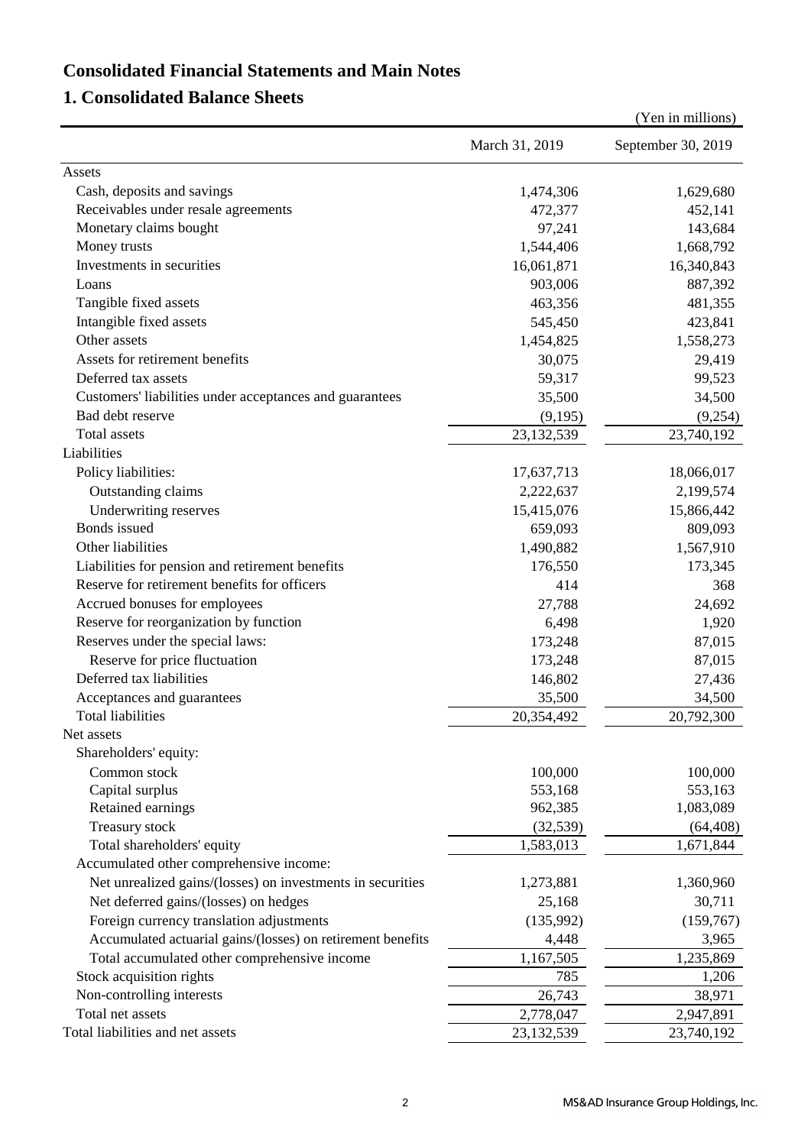## **Consolidated Financial Statements and Main Notes**

## **1. Consolidated Balance Sheets**

|                                                             |                | (Yen in millions)  |
|-------------------------------------------------------------|----------------|--------------------|
|                                                             | March 31, 2019 | September 30, 2019 |
| Assets                                                      |                |                    |
| Cash, deposits and savings                                  | 1,474,306      | 1,629,680          |
| Receivables under resale agreements                         | 472,377        | 452,141            |
| Monetary claims bought                                      | 97,241         | 143,684            |
| Money trusts                                                | 1,544,406      | 1,668,792          |
| Investments in securities                                   | 16,061,871     | 16,340,843         |
| Loans                                                       | 903,006        | 887,392            |
| Tangible fixed assets                                       | 463,356        | 481,355            |
| Intangible fixed assets                                     | 545,450        | 423,841            |
| Other assets                                                | 1,454,825      | 1,558,273          |
| Assets for retirement benefits                              | 30,075         | 29,419             |
| Deferred tax assets                                         | 59,317         | 99,523             |
| Customers' liabilities under acceptances and guarantees     | 35,500         | 34,500             |
| Bad debt reserve                                            | (9,195)        | (9,254)            |
| <b>Total</b> assets                                         | 23, 132, 539   | 23,740,192         |
| Liabilities                                                 |                |                    |
| Policy liabilities:                                         | 17,637,713     | 18,066,017         |
| Outstanding claims                                          | 2,222,637      | 2,199,574          |
| Underwriting reserves                                       | 15,415,076     | 15,866,442         |
| Bonds issued                                                | 659,093        | 809,093            |
| Other liabilities                                           | 1,490,882      | 1,567,910          |
| Liabilities for pension and retirement benefits             | 176,550        | 173,345            |
| Reserve for retirement benefits for officers                | 414            | 368                |
| Accrued bonuses for employees                               | 27,788         | 24,692             |
| Reserve for reorganization by function                      | 6,498          | 1,920              |
| Reserves under the special laws:                            | 173,248        | 87,015             |
| Reserve for price fluctuation                               | 173,248        | 87,015             |
| Deferred tax liabilities                                    | 146,802        | 27,436             |
| Acceptances and guarantees                                  | 35,500         | 34,500             |
| Total liabilities                                           | 20,354,492     | 20,792,300         |
| Net assets                                                  |                |                    |
| Shareholders' equity:                                       |                |                    |
| Common stock                                                | 100,000        | 100,000            |
| Capital surplus                                             | 553,168        | 553,163            |
| Retained earnings                                           | 962,385        | 1,083,089          |
| Treasury stock                                              | (32, 539)      | (64, 408)          |
| Total shareholders' equity                                  | 1,583,013      | 1,671,844          |
| Accumulated other comprehensive income:                     |                |                    |
| Net unrealized gains/(losses) on investments in securities  | 1,273,881      | 1,360,960          |
| Net deferred gains/(losses) on hedges                       | 25,168         | 30,711             |
| Foreign currency translation adjustments                    | (135,992)      | (159,767)          |
| Accumulated actuarial gains/(losses) on retirement benefits | 4,448          | 3,965              |
| Total accumulated other comprehensive income                | 1,167,505      | 1,235,869          |
| Stock acquisition rights                                    | 785            | 1,206              |
| Non-controlling interests                                   | 26,743         | 38,971             |
| Total net assets                                            | 2,778,047      | 2,947,891          |
| Total liabilities and net assets                            | 23,132,539     | 23,740,192         |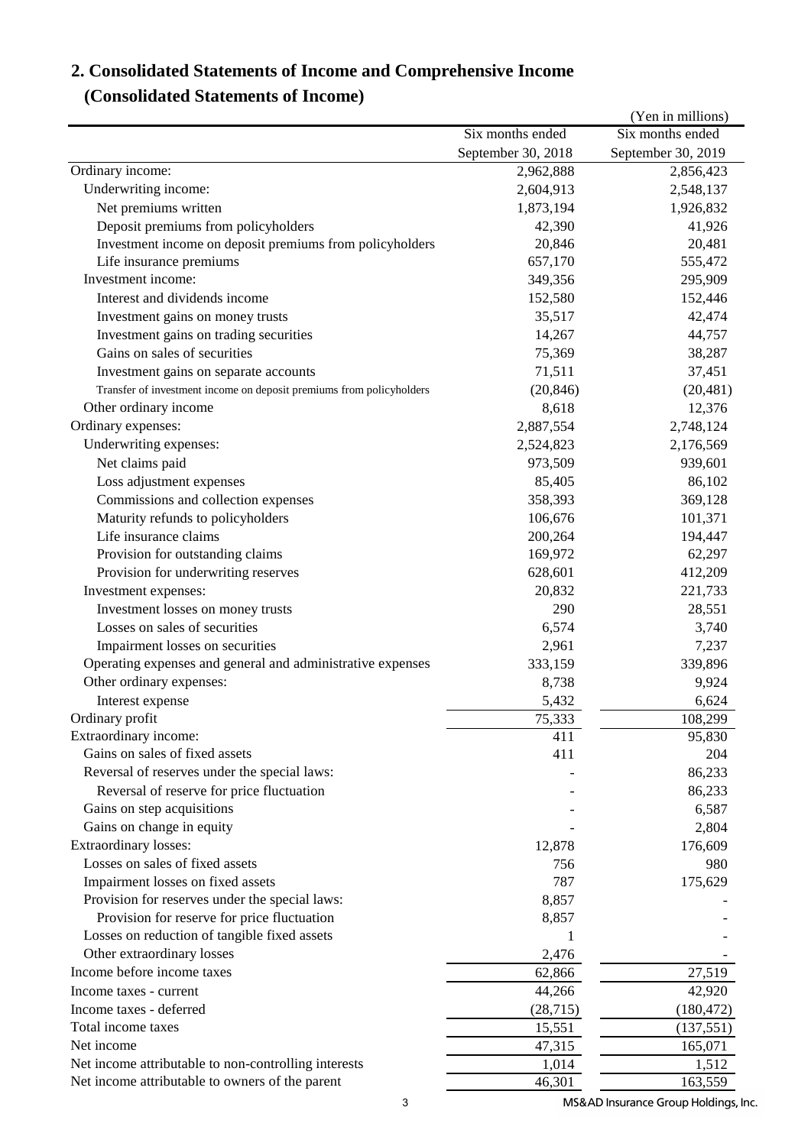# **2. Consolidated Statements of Income and Comprehensive Income**

## **(Consolidated Statements of Income)**

|                                                                      |                    | (Yen in millions)  |
|----------------------------------------------------------------------|--------------------|--------------------|
|                                                                      | Six months ended   | Six months ended   |
|                                                                      | September 30, 2018 | September 30, 2019 |
| Ordinary income:                                                     | 2,962,888          | 2,856,423          |
| Underwriting income:                                                 | 2,604,913          | 2,548,137          |
| Net premiums written                                                 | 1,873,194          | 1,926,832          |
| Deposit premiums from policyholders                                  | 42,390             | 41,926             |
| Investment income on deposit premiums from policyholders             | 20,846             | 20,481             |
| Life insurance premiums                                              | 657,170            | 555,472            |
| Investment income:                                                   | 349,356            | 295,909            |
| Interest and dividends income                                        | 152,580            | 152,446            |
| Investment gains on money trusts                                     | 35,517             | 42,474             |
| Investment gains on trading securities                               | 14,267             | 44,757             |
| Gains on sales of securities                                         | 75,369             | 38,287             |
| Investment gains on separate accounts                                | 71,511             | 37,451             |
| Transfer of investment income on deposit premiums from policyholders | (20, 846)          | (20, 481)          |
| Other ordinary income                                                | 8,618              | 12,376             |
| Ordinary expenses:                                                   | 2,887,554          | 2,748,124          |
| Underwriting expenses:                                               | 2,524,823          | 2,176,569          |
| Net claims paid                                                      | 973,509            | 939,601            |
| Loss adjustment expenses                                             | 85,405             | 86,102             |
| Commissions and collection expenses                                  | 358,393            | 369,128            |
| Maturity refunds to policyholders                                    | 106,676            | 101,371            |
| Life insurance claims                                                | 200,264            | 194,447            |
| Provision for outstanding claims                                     | 169,972            | 62,297             |
| Provision for underwriting reserves                                  | 628,601            | 412,209            |
| Investment expenses:                                                 | 20,832             | 221,733            |
| Investment losses on money trusts                                    | 290                | 28,551             |
| Losses on sales of securities                                        | 6,574              | 3,740              |
| Impairment losses on securities                                      | 2,961              | 7,237              |
| Operating expenses and general and administrative expenses           | 333,159            | 339,896            |
| Other ordinary expenses:                                             | 8,738              | 9,924              |
| Interest expense                                                     | 5,432              | 6,624              |
| Ordinary profit                                                      | 75,333             | 108,299            |
| Extraordinary income:                                                | 411                | 95,830             |
| Gains on sales of fixed assets                                       | 411                | 204                |
| Reversal of reserves under the special laws:                         |                    | 86,233             |
| Reversal of reserve for price fluctuation                            |                    | 86,233             |
| Gains on step acquisitions                                           |                    | 6,587              |
| Gains on change in equity                                            |                    | 2,804              |
| Extraordinary losses:                                                | 12,878             | 176,609            |
| Losses on sales of fixed assets                                      | 756                | 980                |
| Impairment losses on fixed assets                                    | 787                | 175,629            |
| Provision for reserves under the special laws:                       | 8,857              |                    |
| Provision for reserve for price fluctuation                          | 8,857              |                    |
| Losses on reduction of tangible fixed assets                         | 1                  |                    |
| Other extraordinary losses                                           | 2,476              |                    |
| Income before income taxes                                           | 62,866             | 27,519             |
| Income taxes - current                                               | 44,266             | 42,920             |
| Income taxes - deferred                                              | (28, 715)          | (180, 472)         |
| Total income taxes                                                   | 15,551             | (137, 551)         |
| Net income                                                           | 47,315             | 165,071            |
| Net income attributable to non-controlling interests                 | 1,014              | 1,512              |
| Net income attributable to owners of the parent                      | 46,301             | 163,559            |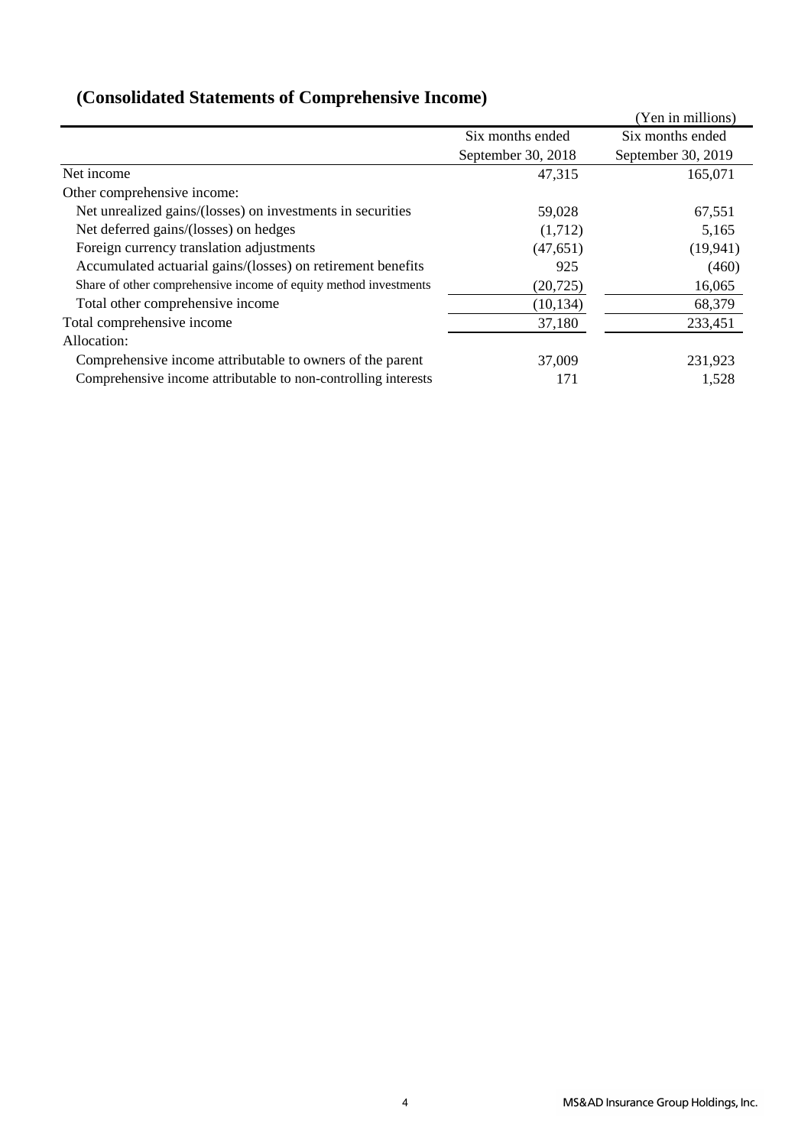|                                                                  |                    | (Yen in millions)  |
|------------------------------------------------------------------|--------------------|--------------------|
|                                                                  | Six months ended   | Six months ended   |
|                                                                  | September 30, 2018 | September 30, 2019 |
| Net income                                                       | 47,315             | 165,071            |
| Other comprehensive income:                                      |                    |                    |
| Net unrealized gains/(losses) on investments in securities       | 59,028             | 67,551             |
| Net deferred gains/(losses) on hedges                            | (1,712)            | 5,165              |
| Foreign currency translation adjustments                         | (47, 651)          | (19, 941)          |
| Accumulated actuarial gains/(losses) on retirement benefits      | 925                | (460)              |
| Share of other comprehensive income of equity method investments | (20, 725)          | 16,065             |
| Total other comprehensive income                                 | (10, 134)          | 68,379             |
| Total comprehensive income                                       | 37,180             | 233,451            |
| Allocation:                                                      |                    |                    |
| Comprehensive income attributable to owners of the parent        | 37,009             | 231,923            |
| Comprehensive income attributable to non-controlling interests   | 171                | 1,528              |

## **(Consolidated Statements of Comprehensive Income)**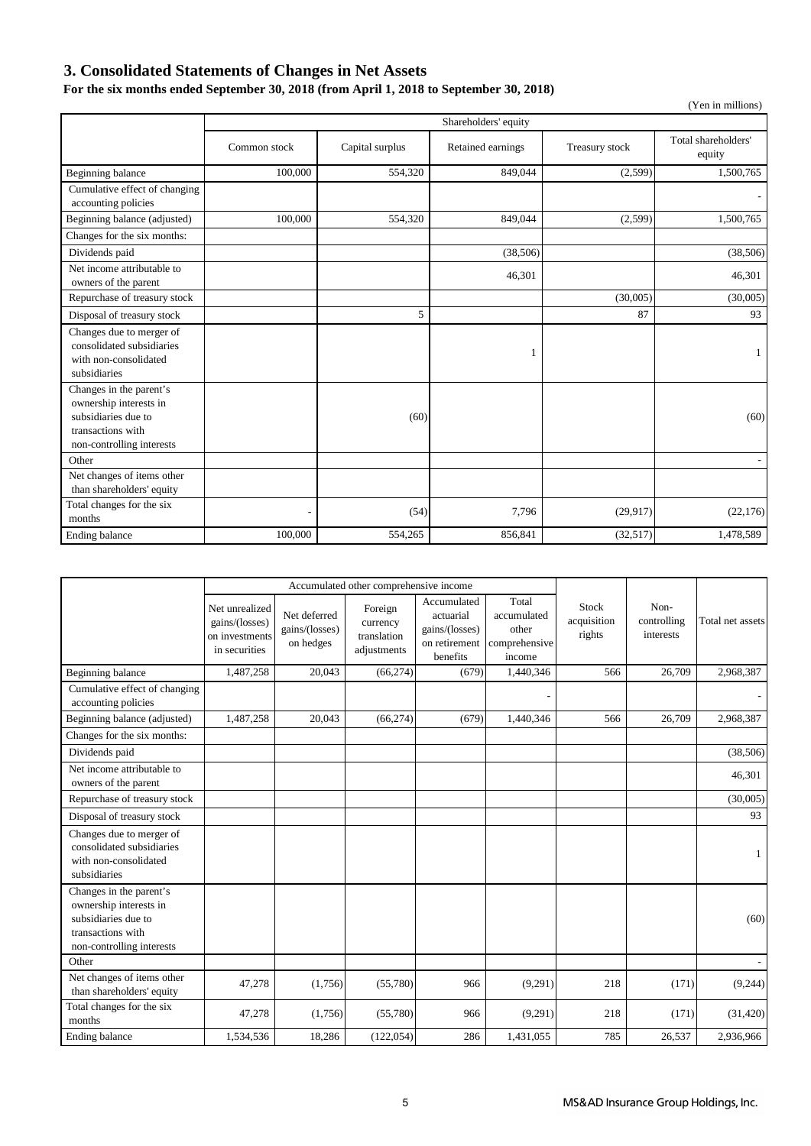## **3. Consolidated Statements of Changes in Net Assets**

### **For the six months ended September 30, 2018 (from April 1, 2018 to September 30, 2018)**

|                                                                                                                            |                      |                 |                   |                | (Yen in millions)             |  |  |
|----------------------------------------------------------------------------------------------------------------------------|----------------------|-----------------|-------------------|----------------|-------------------------------|--|--|
|                                                                                                                            | Shareholders' equity |                 |                   |                |                               |  |  |
|                                                                                                                            | Common stock         | Capital surplus | Retained earnings | Treasury stock | Total shareholders'<br>equity |  |  |
| Beginning balance                                                                                                          | 100,000              | 554,320         | 849,044           | (2,599)        | 1,500,765                     |  |  |
| Cumulative effect of changing<br>accounting policies                                                                       |                      |                 |                   |                |                               |  |  |
| Beginning balance (adjusted)                                                                                               | 100,000              | 554,320         | 849,044           | (2,599)        | 1,500,765                     |  |  |
| Changes for the six months:                                                                                                |                      |                 |                   |                |                               |  |  |
| Dividends paid                                                                                                             |                      |                 | (38, 506)         |                | (38, 506)                     |  |  |
| Net income attributable to<br>owners of the parent                                                                         |                      |                 | 46,301            |                | 46,301                        |  |  |
| Repurchase of treasury stock                                                                                               |                      |                 |                   | (30,005)       | (30,005)                      |  |  |
| Disposal of treasury stock                                                                                                 |                      | 5               |                   | 87             | 93                            |  |  |
| Changes due to merger of<br>consolidated subsidiaries<br>with non-consolidated<br>subsidiaries                             |                      |                 | 1                 |                | 1                             |  |  |
| Changes in the parent's<br>ownership interests in<br>subsidiaries due to<br>transactions with<br>non-controlling interests |                      | (60)            |                   |                | (60)                          |  |  |
| Other                                                                                                                      |                      |                 |                   |                |                               |  |  |
| Net changes of items other<br>than shareholders' equity                                                                    |                      |                 |                   |                |                               |  |  |
| Total changes for the six<br>months                                                                                        | ٠                    | (54)            | 7,796             | (29, 917)      | (22, 176)                     |  |  |
| Ending balance                                                                                                             | 100,000              | 554,265         | 856,841           | (32,517)       | 1,478,589                     |  |  |

|                                                                                                                            | Accumulated other comprehensive income                              |                                             |                                                   |                                                                         |                                                          |                                |                                  |                  |
|----------------------------------------------------------------------------------------------------------------------------|---------------------------------------------------------------------|---------------------------------------------|---------------------------------------------------|-------------------------------------------------------------------------|----------------------------------------------------------|--------------------------------|----------------------------------|------------------|
|                                                                                                                            | Net unrealized<br>gains/(losses)<br>on investments<br>in securities | Net deferred<br>gains/(losses)<br>on hedges | Foreign<br>currency<br>translation<br>adjustments | Accumulated<br>actuarial<br>gains/(losses)<br>on retirement<br>benefits | Total<br>accumulated<br>other<br>comprehensive<br>income | Stock<br>acquisition<br>rights | Non-<br>controlling<br>interests | Total net assets |
| Beginning balance                                                                                                          | 1,487,258                                                           | 20,043                                      | (66, 274)                                         | (679)                                                                   | 1,440,346                                                | 566                            | 26,709                           | 2,968,387        |
| Cumulative effect of changing<br>accounting policies                                                                       |                                                                     |                                             |                                                   |                                                                         |                                                          |                                |                                  |                  |
| Beginning balance (adjusted)                                                                                               | 1,487,258                                                           | 20,043                                      | (66, 274)                                         | (679)                                                                   | 1,440,346                                                | 566                            | 26,709                           | 2,968,387        |
| Changes for the six months:                                                                                                |                                                                     |                                             |                                                   |                                                                         |                                                          |                                |                                  |                  |
| Dividends paid                                                                                                             |                                                                     |                                             |                                                   |                                                                         |                                                          |                                |                                  | (38, 506)        |
| Net income attributable to<br>owners of the parent                                                                         |                                                                     |                                             |                                                   |                                                                         |                                                          |                                |                                  | 46,301           |
| Repurchase of treasury stock                                                                                               |                                                                     |                                             |                                                   |                                                                         |                                                          |                                |                                  | (30,005)         |
| Disposal of treasury stock                                                                                                 |                                                                     |                                             |                                                   |                                                                         |                                                          |                                |                                  | 93               |
| Changes due to merger of<br>consolidated subsidiaries<br>with non-consolidated<br>subsidiaries                             |                                                                     |                                             |                                                   |                                                                         |                                                          |                                |                                  | 1                |
| Changes in the parent's<br>ownership interests in<br>subsidiaries due to<br>transactions with<br>non-controlling interests |                                                                     |                                             |                                                   |                                                                         |                                                          |                                |                                  | (60)             |
| Other                                                                                                                      |                                                                     |                                             |                                                   |                                                                         |                                                          |                                |                                  |                  |
| Net changes of items other<br>than shareholders' equity                                                                    | 47,278                                                              | (1,756)                                     | (55,780)                                          | 966                                                                     | (9,291)                                                  | 218                            | (171)                            | (9,244)          |
| Total changes for the six<br>months                                                                                        | 47,278                                                              | (1,756)                                     | (55,780)                                          | 966                                                                     | (9,291)                                                  | 218                            | (171)                            | (31, 420)        |
| Ending balance                                                                                                             | 1,534,536                                                           | 18,286                                      | (122, 054)                                        | 286                                                                     | 1,431,055                                                | 785                            | 26,537                           | 2,936,966        |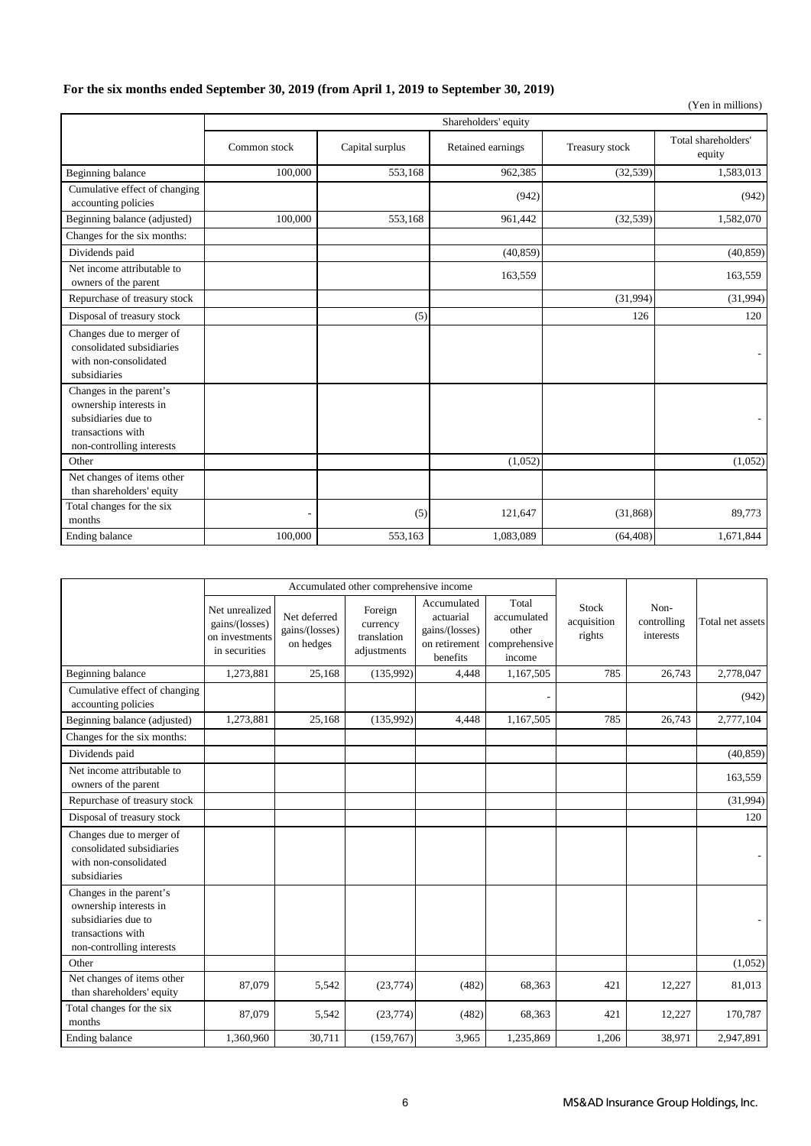### **For the six months ended September 30, 2019 (from April 1, 2019 to September 30, 2019)**

| (Yen in millions)                                                                                                          |                          |                 |                   |                |                               |  |  |  |
|----------------------------------------------------------------------------------------------------------------------------|--------------------------|-----------------|-------------------|----------------|-------------------------------|--|--|--|
|                                                                                                                            | Shareholders' equity     |                 |                   |                |                               |  |  |  |
|                                                                                                                            | Common stock             | Capital surplus | Retained earnings | Treasury stock | Total shareholders'<br>equity |  |  |  |
| Beginning balance                                                                                                          | 100,000                  | 553,168         | 962,385           | (32, 539)      | 1,583,013                     |  |  |  |
| Cumulative effect of changing<br>accounting policies                                                                       |                          |                 | (942)             |                | (942)                         |  |  |  |
| Beginning balance (adjusted)                                                                                               | 100,000                  | 553,168         | 961,442           | (32, 539)      | 1,582,070                     |  |  |  |
| Changes for the six months:                                                                                                |                          |                 |                   |                |                               |  |  |  |
| Dividends paid                                                                                                             |                          |                 | (40, 859)         |                | (40, 859)                     |  |  |  |
| Net income attributable to<br>owners of the parent                                                                         |                          |                 | 163,559           |                | 163,559                       |  |  |  |
| Repurchase of treasury stock                                                                                               |                          |                 |                   | (31,994)       | (31,994)                      |  |  |  |
| Disposal of treasury stock                                                                                                 |                          | (5)             |                   | 126            | 120                           |  |  |  |
| Changes due to merger of<br>consolidated subsidiaries<br>with non-consolidated<br>subsidiaries                             |                          |                 |                   |                |                               |  |  |  |
| Changes in the parent's<br>ownership interests in<br>subsidiaries due to<br>transactions with<br>non-controlling interests |                          |                 |                   |                |                               |  |  |  |
| Other                                                                                                                      |                          |                 | (1,052)           |                | (1,052)                       |  |  |  |
| Net changes of items other<br>than shareholders' equity                                                                    |                          |                 |                   |                |                               |  |  |  |
| Total changes for the six<br>months                                                                                        | $\overline{\phantom{a}}$ | (5)             | 121,647           | (31, 868)      | 89,773                        |  |  |  |
| Ending balance                                                                                                             | 100,000                  | 553,163         | 1,083,089         | (64, 408)      | 1,671,844                     |  |  |  |

|                                                                                                                            | Accumulated other comprehensive income                              |                                             |                                                   |                                                                         |                                                          |                                |                                  |                  |
|----------------------------------------------------------------------------------------------------------------------------|---------------------------------------------------------------------|---------------------------------------------|---------------------------------------------------|-------------------------------------------------------------------------|----------------------------------------------------------|--------------------------------|----------------------------------|------------------|
|                                                                                                                            | Net unrealized<br>gains/(losses)<br>on investments<br>in securities | Net deferred<br>gains/(losses)<br>on hedges | Foreign<br>currency<br>translation<br>adjustments | Accumulated<br>actuarial<br>gains/(losses)<br>on retirement<br>benefits | Total<br>accumulated<br>other<br>comprehensive<br>income | Stock<br>acquisition<br>rights | Non-<br>controlling<br>interests | Total net assets |
| Beginning balance                                                                                                          | 1,273,881                                                           | 25,168                                      | (135,992)                                         | 4,448                                                                   | 1,167,505                                                | 785                            | 26,743                           | 2,778,047        |
| Cumulative effect of changing<br>accounting policies                                                                       |                                                                     |                                             |                                                   |                                                                         |                                                          |                                |                                  | (942)            |
| Beginning balance (adjusted)                                                                                               | 1,273,881                                                           | 25,168                                      | (135,992)                                         | 4,448                                                                   | 1,167,505                                                | 785                            | 26,743                           | 2,777,104        |
| Changes for the six months:                                                                                                |                                                                     |                                             |                                                   |                                                                         |                                                          |                                |                                  |                  |
| Dividends paid                                                                                                             |                                                                     |                                             |                                                   |                                                                         |                                                          |                                |                                  | (40, 859)        |
| Net income attributable to<br>owners of the parent                                                                         |                                                                     |                                             |                                                   |                                                                         |                                                          |                                |                                  | 163,559          |
| Repurchase of treasury stock                                                                                               |                                                                     |                                             |                                                   |                                                                         |                                                          |                                |                                  | (31,994)         |
| Disposal of treasury stock                                                                                                 |                                                                     |                                             |                                                   |                                                                         |                                                          |                                |                                  | 120              |
| Changes due to merger of<br>consolidated subsidiaries<br>with non-consolidated<br>subsidiaries                             |                                                                     |                                             |                                                   |                                                                         |                                                          |                                |                                  |                  |
| Changes in the parent's<br>ownership interests in<br>subsidiaries due to<br>transactions with<br>non-controlling interests |                                                                     |                                             |                                                   |                                                                         |                                                          |                                |                                  |                  |
| Other                                                                                                                      |                                                                     |                                             |                                                   |                                                                         |                                                          |                                |                                  | (1,052)          |
| Net changes of items other<br>than shareholders' equity                                                                    | 87,079                                                              | 5,542                                       | (23, 774)                                         | (482)                                                                   | 68,363                                                   | 421                            | 12,227                           | 81,013           |
| Total changes for the six<br>months                                                                                        | 87,079                                                              | 5,542                                       | (23, 774)                                         | (482)                                                                   | 68,363                                                   | 421                            | 12,227                           | 170,787          |
| Ending balance                                                                                                             | 1,360,960                                                           | 30,711                                      | (159, 767)                                        | 3,965                                                                   | 1,235,869                                                | 1,206                          | 38,971                           | 2,947,891        |